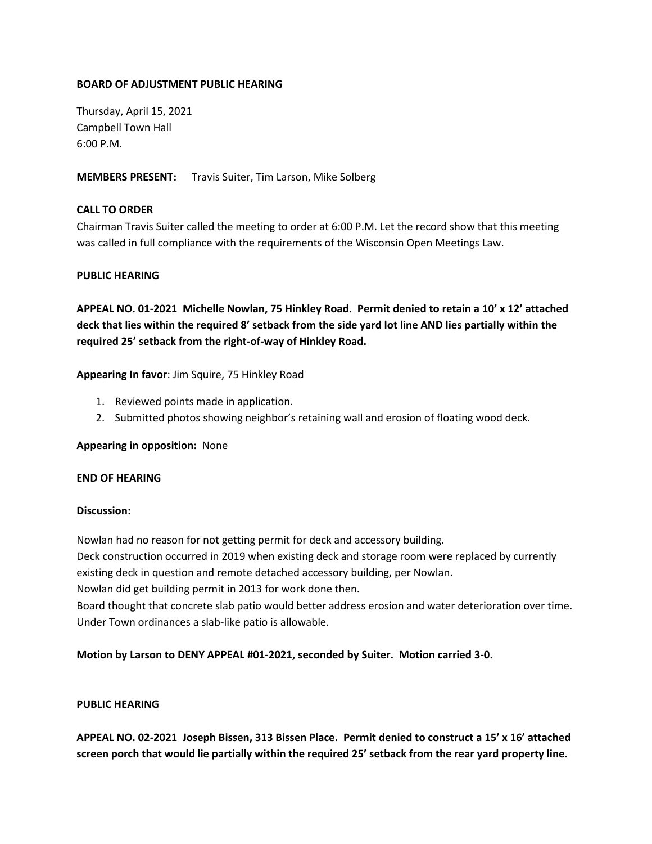### **BOARD OF ADJUSTMENT PUBLIC HEARING**

Thursday, April 15, 2021 Campbell Town Hall 6:00 P.M.

**MEMBERS PRESENT:** Travis Suiter, Tim Larson, Mike Solberg

## **CALL TO ORDER**

Chairman Travis Suiter called the meeting to order at 6:00 P.M. Let the record show that this meeting was called in full compliance with the requirements of the Wisconsin Open Meetings Law.

### **PUBLIC HEARING**

**APPEAL NO. 01-2021 Michelle Nowlan, 75 Hinkley Road. Permit denied to retain a 10' x 12' attached deck that lies within the required 8' setback from the side yard lot line AND lies partially within the required 25' setback from the right-of-way of Hinkley Road.**

### **Appearing In favor**: Jim Squire, 75 Hinkley Road

- 1. Reviewed points made in application.
- 2. Submitted photos showing neighbor's retaining wall and erosion of floating wood deck.

**Appearing in opposition:** None

#### **END OF HEARING**

#### **Discussion:**

Nowlan had no reason for not getting permit for deck and accessory building.

Deck construction occurred in 2019 when existing deck and storage room were replaced by currently existing deck in question and remote detached accessory building, per Nowlan.

Nowlan did get building permit in 2013 for work done then.

Board thought that concrete slab patio would better address erosion and water deterioration over time. Under Town ordinances a slab-like patio is allowable.

### **Motion by Larson to DENY APPEAL #01-2021, seconded by Suiter. Motion carried 3-0.**

### **PUBLIC HEARING**

**APPEAL NO. 02-2021 Joseph Bissen, 313 Bissen Place. Permit denied to construct a 15' x 16' attached screen porch that would lie partially within the required 25' setback from the rear yard property line.**